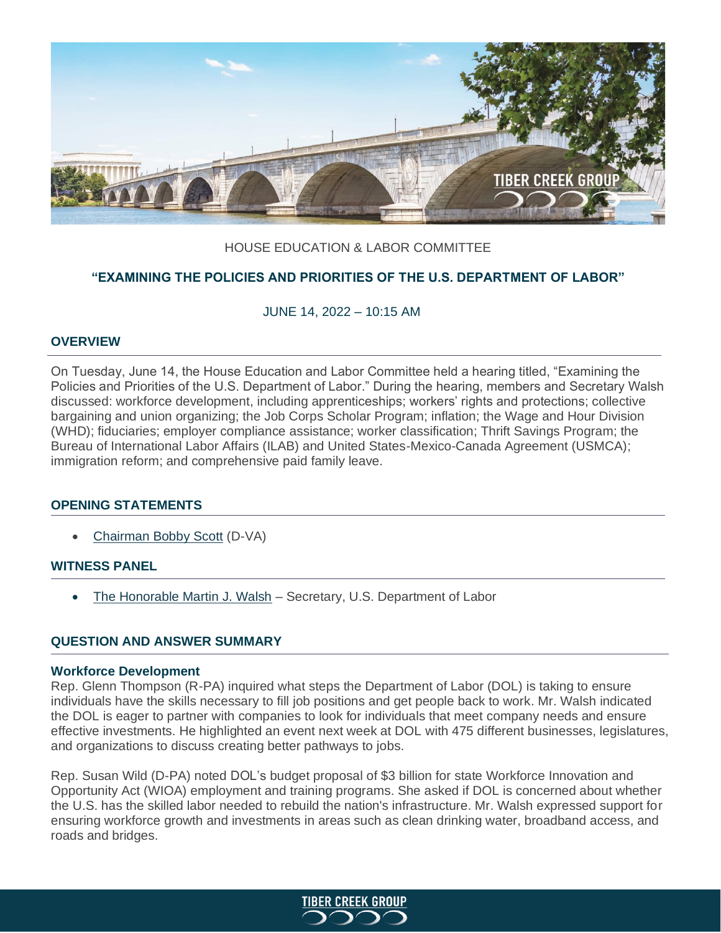

# HOUSE EDUCATION & LABOR COMMITTEE

# **"EXAMINING THE POLICIES AND PRIORITIES OF THE U.S. DEPARTMENT OF LABOR"**

## JUNE 14, 2022 – 10:15 AM

#### **OVERVIEW**

On Tuesday, June 14, the House Education and Labor Committee held a hearing titled, "Examining the Policies and Priorities of the U.S. Department of Labor." During the hearing, members and Secretary Walsh discussed: workforce development, including apprenticeships; workers' rights and protections; collective bargaining and union organizing; the Job Corps Scholar Program; inflation; the Wage and Hour Division (WHD); fiduciaries; employer compliance assistance; worker classification; Thrift Savings Program; the Bureau of International Labor Affairs (ILAB) and United States-Mexico-Canada Agreement (USMCA); immigration reform; and comprehensive paid family leave.

## **OPENING STATEMENTS**

• [Chairman Bobby Scott](https://edlabor.house.gov/imo/media/doc/ScottOS061422.pdf) (D-VA)

#### **WITNESS PANEL**

• [The Honorable Martin J. Walsh](https://edlabor.house.gov/imo/media/doc/WalshMartinTestimony061422.pdf) – Secretary, U.S. Department of Labor

## **QUESTION AND ANSWER SUMMARY**

#### **Workforce Development**

Rep. Glenn Thompson (R-PA) inquired what steps the Department of Labor (DOL) is taking to ensure individuals have the skills necessary to fill job positions and get people back to work. Mr. Walsh indicated the DOL is eager to partner with companies to look for individuals that meet company needs and ensure effective investments. He highlighted an event next week at DOL with 475 different businesses, legislatures, and organizations to discuss creating better pathways to jobs.

Rep. Susan Wild (D-PA) noted DOL's budget proposal of \$3 billion for state Workforce Innovation and Opportunity Act (WIOA) employment and training programs. She asked if DOL is concerned about whether the U.S. has the skilled labor needed to rebuild the nation's infrastructure. Mr. Walsh expressed support for ensuring workforce growth and investments in areas such as clean drinking water, broadband access, and roads and bridges.

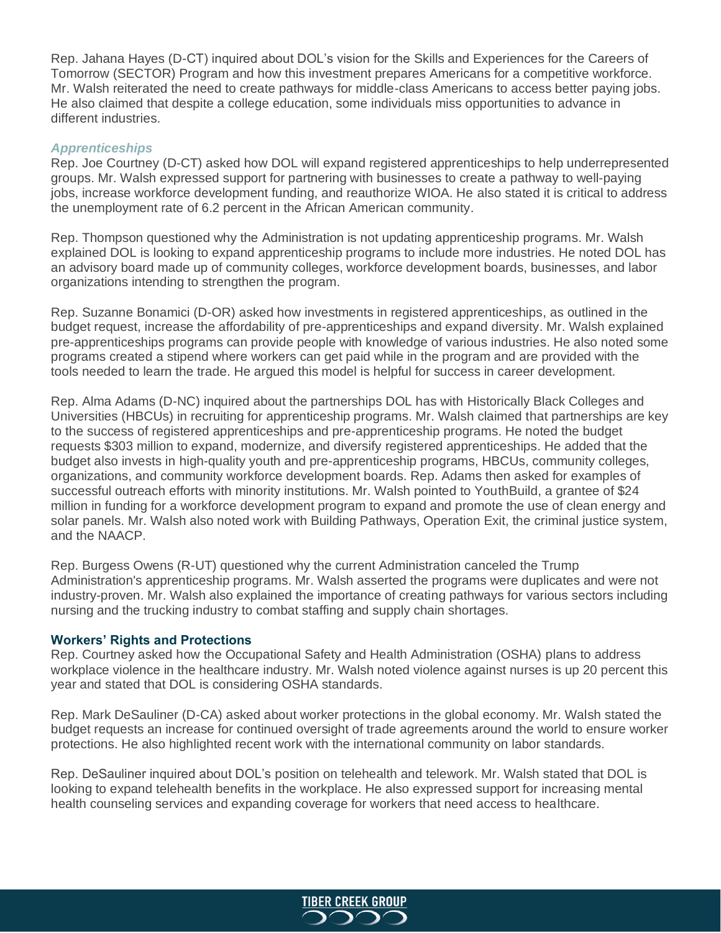Rep. Jahana Hayes (D-CT) inquired about DOL's vision for the Skills and Experiences for the Careers of Tomorrow (SECTOR) Program and how this investment prepares Americans for a competitive workforce. Mr. Walsh reiterated the need to create pathways for middle-class Americans to access better paying jobs. He also claimed that despite a college education, some individuals miss opportunities to advance in different industries.

### *Apprenticeships*

Rep. Joe Courtney (D-CT) asked how DOL will expand registered apprenticeships to help underrepresented groups. Mr. Walsh expressed support for partnering with businesses to create a pathway to well-paying jobs, increase workforce development funding, and reauthorize WIOA. He also stated it is critical to address the unemployment rate of 6.2 percent in the African American community.

Rep. Thompson questioned why the Administration is not updating apprenticeship programs. Mr. Walsh explained DOL is looking to expand apprenticeship programs to include more industries. He noted DOL has an advisory board made up of community colleges, workforce development boards, businesses, and labor organizations intending to strengthen the program.

Rep. Suzanne Bonamici (D-OR) asked how investments in registered apprenticeships, as outlined in the budget request, increase the affordability of pre-apprenticeships and expand diversity. Mr. Walsh explained pre-apprenticeships programs can provide people with knowledge of various industries. He also noted some programs created a stipend where workers can get paid while in the program and are provided with the tools needed to learn the trade. He argued this model is helpful for success in career development.

Rep. Alma Adams (D-NC) inquired about the partnerships DOL has with Historically Black Colleges and Universities (HBCUs) in recruiting for apprenticeship programs. Mr. Walsh claimed that partnerships are key to the success of registered apprenticeships and pre-apprenticeship programs. He noted the budget requests \$303 million to expand, modernize, and diversify registered apprenticeships. He added that the budget also invests in high-quality youth and pre-apprenticeship programs, HBCUs, community colleges, organizations, and community workforce development boards. Rep. Adams then asked for examples of successful outreach efforts with minority institutions. Mr. Walsh pointed to YouthBuild, a grantee of \$24 million in funding for a workforce development program to expand and promote the use of clean energy and solar panels. Mr. Walsh also noted work with Building Pathways, Operation Exit, the criminal justice system, and the NAACP.

Rep. Burgess Owens (R-UT) questioned why the current Administration canceled the Trump Administration's apprenticeship programs. Mr. Walsh asserted the programs were duplicates and were not industry-proven. Mr. Walsh also explained the importance of creating pathways for various sectors including nursing and the trucking industry to combat staffing and supply chain shortages.

#### **Workers' Rights and Protections**

Rep. Courtney asked how the Occupational Safety and Health Administration (OSHA) plans to address workplace violence in the healthcare industry. Mr. Walsh noted violence against nurses is up 20 percent this year and stated that DOL is considering OSHA standards.

Rep. Mark DeSauliner (D-CA) asked about worker protections in the global economy. Mr. Walsh stated the budget requests an increase for continued oversight of trade agreements around the world to ensure worker protections. He also highlighted recent work with the international community on labor standards.

Rep. DeSauliner inquired about DOL's position on telehealth and telework. Mr. Walsh stated that DOL is looking to expand telehealth benefits in the workplace. He also expressed support for increasing mental health counseling services and expanding coverage for workers that need access to healthcare.

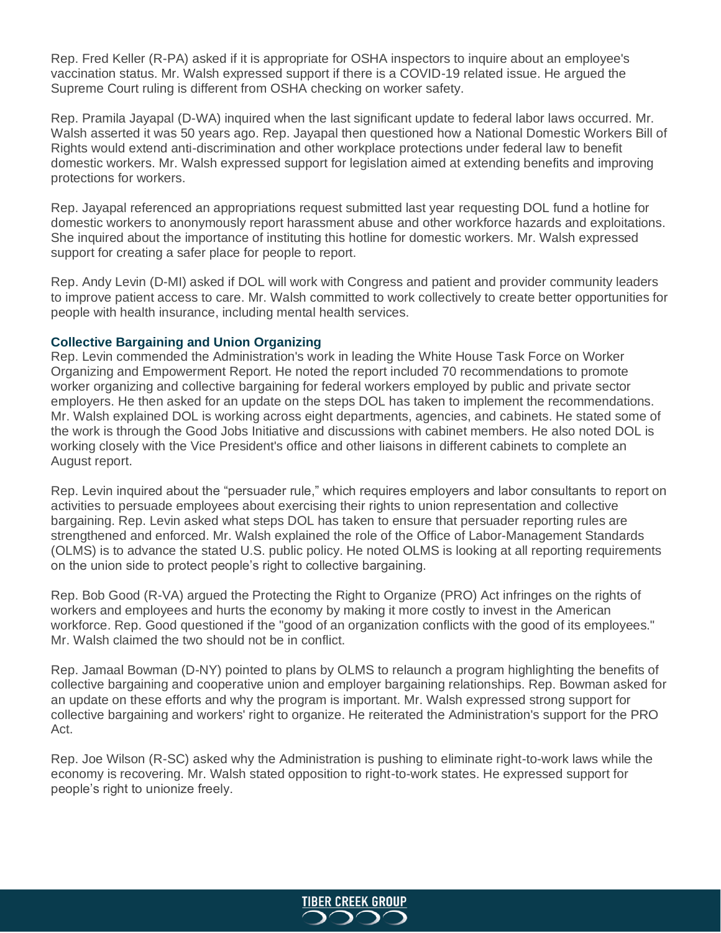Rep. Fred Keller (R-PA) asked if it is appropriate for OSHA inspectors to inquire about an employee's vaccination status. Mr. Walsh expressed support if there is a COVID-19 related issue. He argued the Supreme Court ruling is different from OSHA checking on worker safety.

Rep. Pramila Jayapal (D-WA) inquired when the last significant update to federal labor laws occurred. Mr. Walsh asserted it was 50 years ago. Rep. Jayapal then questioned how a National Domestic Workers Bill of Rights would extend anti-discrimination and other workplace protections under federal law to benefit domestic workers. Mr. Walsh expressed support for legislation aimed at extending benefits and improving protections for workers.

Rep. Jayapal referenced an appropriations request submitted last year requesting DOL fund a hotline for domestic workers to anonymously report harassment abuse and other workforce hazards and exploitations. She inquired about the importance of instituting this hotline for domestic workers. Mr. Walsh expressed support for creating a safer place for people to report.

Rep. Andy Levin (D-MI) asked if DOL will work with Congress and patient and provider community leaders to improve patient access to care. Mr. Walsh committed to work collectively to create better opportunities for people with health insurance, including mental health services.

### **Collective Bargaining and Union Organizing**

Rep. Levin commended the Administration's work in leading the White House Task Force on Worker Organizing and Empowerment Report. He noted the report included 70 recommendations to promote worker organizing and collective bargaining for federal workers employed by public and private sector employers. He then asked for an update on the steps DOL has taken to implement the recommendations. Mr. Walsh explained DOL is working across eight departments, agencies, and cabinets. He stated some of the work is through the Good Jobs Initiative and discussions with cabinet members. He also noted DOL is working closely with the Vice President's office and other liaisons in different cabinets to complete an August report.

Rep. Levin inquired about the "persuader rule," which requires employers and labor consultants to report on activities to persuade employees about exercising their rights to union representation and collective bargaining. Rep. Levin asked what steps DOL has taken to ensure that persuader reporting rules are strengthened and enforced. Mr. Walsh explained the role of the Office of Labor-Management Standards (OLMS) is to advance the stated U.S. public policy. He noted OLMS is looking at all reporting requirements on the union side to protect people's right to collective bargaining.

Rep. Bob Good (R-VA) argued the Protecting the Right to Organize (PRO) Act infringes on the rights of workers and employees and hurts the economy by making it more costly to invest in the American workforce. Rep. Good questioned if the "good of an organization conflicts with the good of its employees." Mr. Walsh claimed the two should not be in conflict.

Rep. Jamaal Bowman (D-NY) pointed to plans by OLMS to relaunch a program highlighting the benefits of collective bargaining and cooperative union and employer bargaining relationships. Rep. Bowman asked for an update on these efforts and why the program is important. Mr. Walsh expressed strong support for collective bargaining and workers' right to organize. He reiterated the Administration's support for the PRO Act.

Rep. Joe Wilson (R-SC) asked why the Administration is pushing to eliminate right-to-work laws while the economy is recovering. Mr. Walsh stated opposition to right-to-work states. He expressed support for people's right to unionize freely.

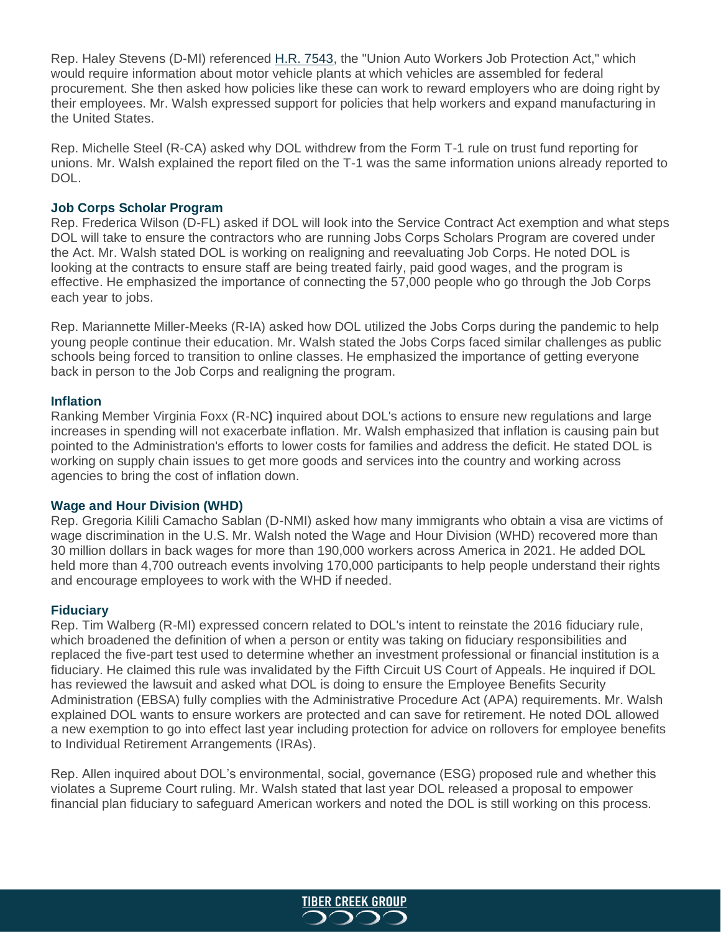Rep. Haley Stevens (D-MI) referenced [H.R. 7543,](file://///Users/jramsey/Downloads/H.R.%207543,%20the%20%252522Union%20Auto%20Workers%20Job%20Protection%20Act,%252522) the "Union Auto Workers Job Protection Act," which would require information about motor vehicle plants at which vehicles are assembled for federal procurement. She then asked how policies like these can work to reward employers who are doing right by their employees. Mr. Walsh expressed support for policies that help workers and expand manufacturing in the United States.

Rep. Michelle Steel (R-CA) asked why DOL withdrew from the Form T-1 rule on trust fund reporting for unions. Mr. Walsh explained the report filed on the T-1 was the same information unions already reported to DOL.

### **Job Corps Scholar Program**

Rep. Frederica Wilson (D-FL) asked if DOL will look into the Service Contract Act exemption and what steps DOL will take to ensure the contractors who are running Jobs Corps Scholars Program are covered under the Act. Mr. Walsh stated DOL is working on realigning and reevaluating Job Corps. He noted DOL is looking at the contracts to ensure staff are being treated fairly, paid good wages, and the program is effective. He emphasized the importance of connecting the 57,000 people who go through the Job Corps each year to jobs.

Rep. Mariannette Miller-Meeks (R-IA) asked how DOL utilized the Jobs Corps during the pandemic to help young people continue their education. Mr. Walsh stated the Jobs Corps faced similar challenges as public schools being forced to transition to online classes. He emphasized the importance of getting everyone back in person to the Job Corps and realigning the program.

### **Inflation**

Ranking Member Virginia Foxx (R-NC**)** inquired about DOL's actions to ensure new regulations and large increases in spending will not exacerbate inflation. Mr. Walsh emphasized that inflation is causing pain but pointed to the Administration's efforts to lower costs for families and address the deficit. He stated DOL is working on supply chain issues to get more goods and services into the country and working across agencies to bring the cost of inflation down.

## **Wage and Hour Division (WHD)**

Rep. Gregoria Kilili Camacho Sablan (D-NMI) asked how many immigrants who obtain a visa are victims of wage discrimination in the U.S. Mr. Walsh noted the Wage and Hour Division (WHD) recovered more than 30 million dollars in back wages for more than 190,000 workers across America in 2021. He added DOL held more than 4,700 outreach events involving 170,000 participants to help people understand their rights and encourage employees to work with the WHD if needed.

#### **Fiduciary**

Rep. Tim Walberg (R-MI) expressed concern related to DOL's intent to reinstate the 2016 fiduciary rule, which broadened the definition of when a person or entity was taking on fiduciary responsibilities and replaced the five-part test used to determine whether an investment professional or financial institution is a fiduciary. He claimed this rule was invalidated by the Fifth Circuit US Court of Appeals. He inquired if DOL has reviewed the lawsuit and asked what DOL is doing to ensure the Employee Benefits Security Administration (EBSA) fully complies with the Administrative Procedure Act (APA) requirements. Mr. Walsh explained DOL wants to ensure workers are protected and can save for retirement. He noted DOL allowed a new exemption to go into effect last year including protection for advice on rollovers for employee benefits to Individual Retirement Arrangements (IRAs).

Rep. Allen inquired about DOL's environmental, social, governance (ESG) proposed rule and whether this violates a Supreme Court ruling. Mr. Walsh stated that last year DOL released a proposal to empower financial plan fiduciary to safeguard American workers and noted the DOL is still working on this process.

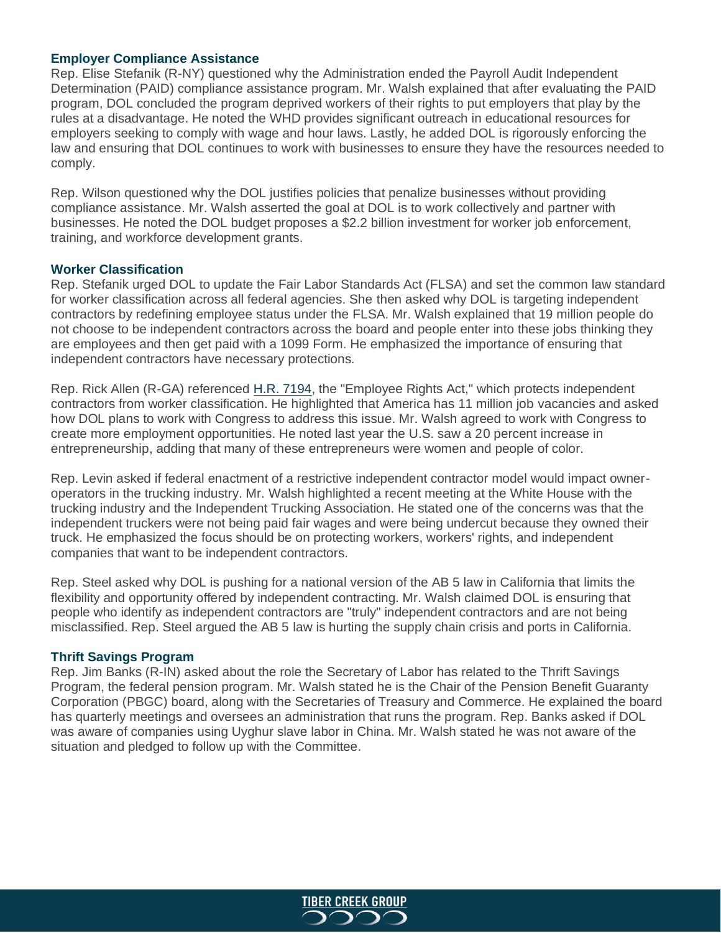### **Employer Compliance Assistance**

Rep. Elise Stefanik (R-NY) questioned why the Administration ended the Payroll Audit Independent Determination (PAID) compliance assistance program. Mr. Walsh explained that after evaluating the PAID program, DOL concluded the program deprived workers of their rights to put employers that play by the rules at a disadvantage. He noted the WHD provides significant outreach in educational resources for employers seeking to comply with wage and hour laws. Lastly, he added DOL is rigorously enforcing the law and ensuring that DOL continues to work with businesses to ensure they have the resources needed to comply.

Rep. Wilson questioned why the DOL justifies policies that penalize businesses without providing compliance assistance. Mr. Walsh asserted the goal at DOL is to work collectively and partner with businesses. He noted the DOL budget proposes a \$2.2 billion investment for worker job enforcement, training, and workforce development grants.

#### **Worker Classification**

Rep. Stefanik urged DOL to update the Fair Labor Standards Act (FLSA) and set the common law standard for worker classification across all federal agencies. She then asked why DOL is targeting independent contractors by redefining employee status under the FLSA. Mr. Walsh explained that 19 million people do not choose to be independent contractors across the board and people enter into these jobs thinking they are employees and then get paid with a 1099 Form. He emphasized the importance of ensuring that independent contractors have necessary protections.

Rep. Rick Allen (R-GA) referenced [H.R. 7194,](https://www.congress.gov/bill/117th-congress/house-bill/7194?s=1&r=3) the "Employee Rights Act," which protects independent contractors from worker classification. He highlighted that America has 11 million job vacancies and asked how DOL plans to work with Congress to address this issue. Mr. Walsh agreed to work with Congress to create more employment opportunities. He noted last year the U.S. saw a 20 percent increase in entrepreneurship, adding that many of these entrepreneurs were women and people of color.

Rep. Levin asked if federal enactment of a restrictive independent contractor model would impact owneroperators in the trucking industry. Mr. Walsh highlighted a recent meeting at the White House with the trucking industry and the Independent Trucking Association. He stated one of the concerns was that the independent truckers were not being paid fair wages and were being undercut because they owned their truck. He emphasized the focus should be on protecting workers, workers' rights, and independent companies that want to be independent contractors.

Rep. Steel asked why DOL is pushing for a national version of the AB 5 law in California that limits the flexibility and opportunity offered by independent contracting. Mr. Walsh claimed DOL is ensuring that people who identify as independent contractors are "truly" independent contractors and are not being misclassified. Rep. Steel argued the AB 5 law is hurting the supply chain crisis and ports in California.

#### **Thrift Savings Program**

Rep. Jim Banks (R-IN) asked about the role the Secretary of Labor has related to the Thrift Savings Program, the federal pension program. Mr. Walsh stated he is the Chair of the Pension Benefit Guaranty Corporation (PBGC) board, along with the Secretaries of Treasury and Commerce. He explained the board has quarterly meetings and oversees an administration that runs the program. Rep. Banks asked if DOL was aware of companies using Uyghur slave labor in China. Mr. Walsh stated he was not aware of the situation and pledged to follow up with the Committee.